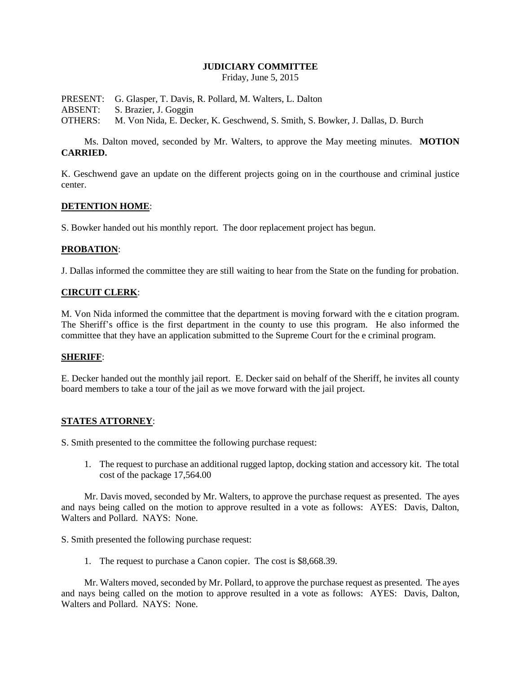## **JUDICIARY COMMITTEE**

Friday, June 5, 2015

PRESENT: G. Glasper, T. Davis, R. Pollard, M. Walters, L. Dalton ABSENT: S. Brazier, J. Goggin OTHERS: M. Von Nida, E. Decker, K. Geschwend, S. Smith, S. Bowker, J. Dallas, D. Burch

Ms. Dalton moved, seconded by Mr. Walters, to approve the May meeting minutes. **MOTION CARRIED.**

K. Geschwend gave an update on the different projects going on in the courthouse and criminal justice center.

## **DETENTION HOME**:

S. Bowker handed out his monthly report. The door replacement project has begun.

## **PROBATION**:

J. Dallas informed the committee they are still waiting to hear from the State on the funding for probation.

## **CIRCUIT CLERK**:

M. Von Nida informed the committee that the department is moving forward with the e citation program. The Sheriff's office is the first department in the county to use this program. He also informed the committee that they have an application submitted to the Supreme Court for the e criminal program.

# **SHERIFF**:

E. Decker handed out the monthly jail report. E. Decker said on behalf of the Sheriff, he invites all county board members to take a tour of the jail as we move forward with the jail project.

# **STATES ATTORNEY**:

S. Smith presented to the committee the following purchase request:

1. The request to purchase an additional rugged laptop, docking station and accessory kit. The total cost of the package 17,564.00

Mr. Davis moved, seconded by Mr. Walters, to approve the purchase request as presented. The ayes and nays being called on the motion to approve resulted in a vote as follows: AYES: Davis, Dalton, Walters and Pollard. NAYS: None.

S. Smith presented the following purchase request:

1. The request to purchase a Canon copier. The cost is \$8,668.39.

Mr. Walters moved, seconded by Mr. Pollard, to approve the purchase request as presented. The ayes and nays being called on the motion to approve resulted in a vote as follows: AYES: Davis, Dalton, Walters and Pollard. NAYS: None.